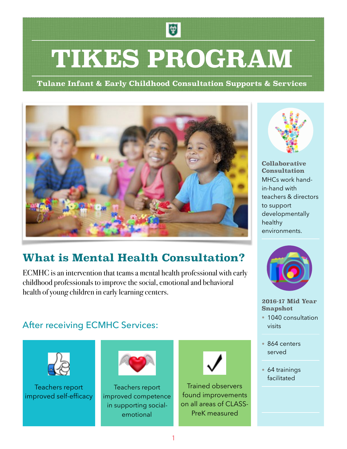# **TIKES PROGRAM**

使

**Tulane Infant & Early Childhood Consultation Supports & Services**



# **What is Mental Health Consultation?**

ECMHC is an intervention that teams a mental health professional with early childhood professionals to improve the social, emotional and behavioral health of young children in early learning centers.

## After receiving ECMHC Services:



Teachers report improved self-efficacy



Teachers report improved competence in supporting socialemotional



Trained observers found improvements on all areas of CLASS-PreK measured



**Collaborative Consultation** MHCs work handin-hand with teachers & directors to support developmentally healthy environments.



#### **2016-17 Mid Year Snapshot**

- 1040 consultation visits
- 864 centers served
- 64 trainings facilitated